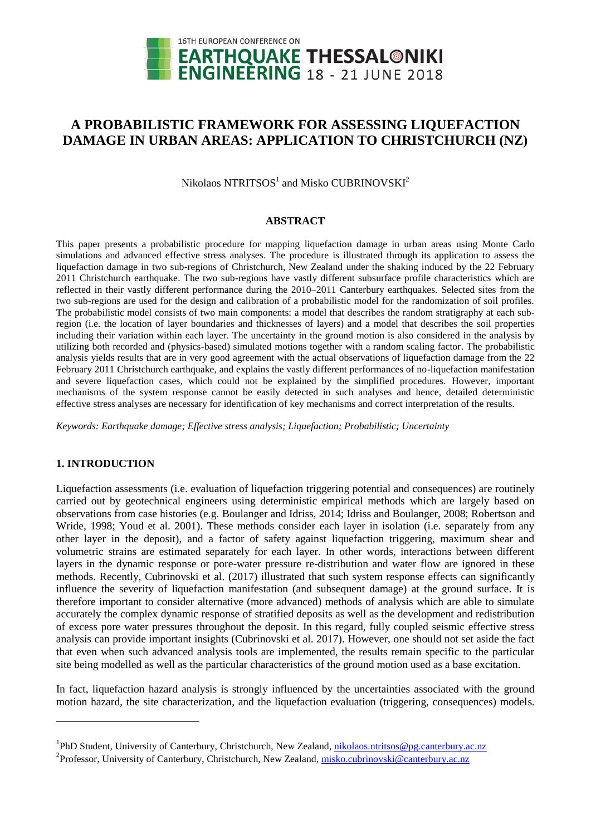

# **A PROBABILISTIC FRAMEWORK FOR ASSESSING LIQUEFACTION DAMAGE IN URBAN AREAS: APPLICATION TO CHRISTCHURCH (NZ)**

Nikolaos  $\mathrm{NTRITSOS}^{1}$  and Misko CUBRINOVSKI $^{2}$ 

### **ABSTRACT**

This paper presents a probabilistic procedure for mapping liquefaction damage in urban areas using Monte Carlo simulations and advanced effective stress analyses. The procedure is illustrated through its application to assess the liquefaction damage in two sub-regions of Christchurch, New Zealand under the shaking induced by the 22 February 2011 Christchurch earthquake. The two sub-regions have vastly different subsurface profile characteristics which are reflected in their vastly different performance during the 2010–2011 Canterbury earthquakes. Selected sites from the two sub-regions are used for the design and calibration of a probabilistic model for the randomization of soil profiles. The probabilistic model consists of two main components: a model that describes the random stratigraphy at each subregion (i.e. the location of layer boundaries and thicknesses of layers) and a model that describes the soil properties including their variation within each layer. The uncertainty in the ground motion is also considered in the analysis by utilizing both recorded and (physics-based) simulated motions together with a random scaling factor. The probabilistic analysis yields results that are in very good agreement with the actual observations of liquefaction damage from the 22 February 2011 Christchurch earthquake, and explains the vastly different performances of no-liquefaction manifestation and severe liquefaction cases, which could not be explained by the simplified procedures. However, important mechanisms of the system response cannot be easily detected in such analyses and hence, detailed deterministic effective stress analyses are necessary for identification of key mechanisms and correct interpretation of the results.

*Keywords: Earthquake damage; Effective stress analysis; Liquefaction; Probabilistic; Uncertainty*

### **1. INTRODUCTION**

1

Liquefaction assessments (i.e. evaluation of liquefaction triggering potential and consequences) are routinely carried out by geotechnical engineers using deterministic empirical methods which are largely based on observations from case histories (e.g. Boulanger and Idriss, 2014; Idriss and Boulanger, 2008; Robertson and Wride, 1998; Youd et al. 2001). These methods consider each layer in isolation (i.e. separately from any other layer in the deposit), and a factor of safety against liquefaction triggering, maximum shear and volumetric strains are estimated separately for each layer. In other words, interactions between different layers in the dynamic response or pore-water pressure re-distribution and water flow are ignored in these methods. Recently, Cubrinovski et al. (2017) illustrated that such system response effects can significantly influence the severity of liquefaction manifestation (and subsequent damage) at the ground surface. It is therefore important to consider alternative (more advanced) methods of analysis which are able to simulate accurately the complex dynamic response of stratified deposits as well as the development and redistribution of excess pore water pressures throughout the deposit. In this regard, fully coupled seismic effective stress analysis can provide important insights (Cubrinovski et al. 2017). However, one should not set aside the fact that even when such advanced analysis tools are implemented, the results remain specific to the particular site being modelled as well as the particular characteristics of the ground motion used as a base excitation.

In fact, liquefaction hazard analysis is strongly influenced by the uncertainties associated with the ground motion hazard, the site characterization, and the liquefaction evaluation (triggering, consequences) models.

<sup>&</sup>lt;sup>1</sup>PhD Student, University of Canterbury, Christchurch, New Zealand, [nikolaos.ntritsos@pg.canterbury.ac.nz](mailto:nikolaos.ntritsos@pg.canterbury.ac.nz1)

<sup>&</sup>lt;sup>2</sup> Professor, University of Canterbury, Christchurch, New Zealand[, misko.cubrinovski@canterbury.ac.nz](mailto:misko.cubrinovski@canterbury.ac.nz)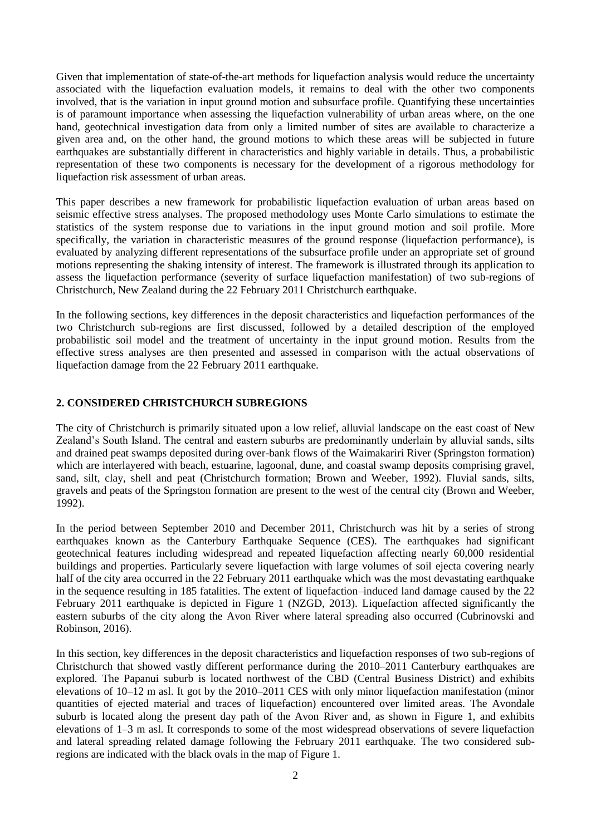Given that implementation of state-of-the-art methods for liquefaction analysis would reduce the uncertainty associated with the liquefaction evaluation models, it remains to deal with the other two components involved, that is the variation in input ground motion and subsurface profile. Quantifying these uncertainties is of paramount importance when assessing the liquefaction vulnerability of urban areas where, on the one hand, geotechnical investigation data from only a limited number of sites are available to characterize a given area and, on the other hand, the ground motions to which these areas will be subjected in future earthquakes are substantially different in characteristics and highly variable in details. Thus, a probabilistic representation of these two components is necessary for the development of a rigorous methodology for liquefaction risk assessment of urban areas.

This paper describes a new framework for probabilistic liquefaction evaluation of urban areas based on seismic effective stress analyses. The proposed methodology uses Monte Carlo simulations to estimate the statistics of the system response due to variations in the input ground motion and soil profile. More specifically, the variation in characteristic measures of the ground response (liquefaction performance), is evaluated by analyzing different representations of the subsurface profile under an appropriate set of ground motions representing the shaking intensity of interest. The framework is illustrated through its application to assess the liquefaction performance (severity of surface liquefaction manifestation) of two sub-regions of Christchurch, New Zealand during the 22 February 2011 Christchurch earthquake.

In the following sections, key differences in the deposit characteristics and liquefaction performances of the two Christchurch sub-regions are first discussed, followed by a detailed description of the employed probabilistic soil model and the treatment of uncertainty in the input ground motion. Results from the effective stress analyses are then presented and assessed in comparison with the actual observations of liquefaction damage from the 22 February 2011 earthquake.

### **2. CONSIDERED CHRISTCHURCH SUBREGIONS**

The city of Christchurch is primarily situated upon a low relief, alluvial landscape on the east coast of New Zealand's South Island. The central and eastern suburbs are predominantly underlain by alluvial sands, silts and drained peat swamps deposited during over-bank flows of the Waimakariri River (Springston formation) which are interlayered with beach, estuarine, lagoonal, dune, and coastal swamp deposits comprising gravel, sand, silt, clay, shell and peat (Christchurch formation; Brown and Weeber, 1992). Fluvial sands, silts, gravels and peats of the Springston formation are present to the west of the central city (Brown and Weeber, 1992).

In the period between September 2010 and December 2011, Christchurch was hit by a series of strong earthquakes known as the Canterbury Earthquake Sequence (CES). The earthquakes had significant geotechnical features including widespread and repeated liquefaction affecting nearly 60,000 residential buildings and properties. Particularly severe liquefaction with large volumes of soil ejecta covering nearly half of the city area occurred in the 22 February 2011 earthquake which was the most devastating earthquake in the sequence resulting in 185 fatalities. The extent of liquefaction–induced land damage caused by the 22 February 2011 earthquake is depicted in Figure 1 (NZGD, 2013). Liquefaction affected significantly the eastern suburbs of the city along the Avon River where lateral spreading also occurred (Cubrinovski and Robinson, 2016).

In this section, key differences in the deposit characteristics and liquefaction responses of two sub-regions of Christchurch that showed vastly different performance during the 2010–2011 Canterbury earthquakes are explored. The Papanui suburb is located northwest of the CBD (Central Business District) and exhibits elevations of 10–12 m asl. It got by the 2010–2011 CES with only minor liquefaction manifestation (minor quantities of ejected material and traces of liquefaction) encountered over limited areas. The Avondale suburb is located along the present day path of the Avon River and, as shown in Figure 1, and exhibits elevations of 1–3 m asl. It corresponds to some of the most widespread observations of severe liquefaction and lateral spreading related damage following the February 2011 earthquake. The two considered subregions are indicated with the black ovals in the map of Figure 1.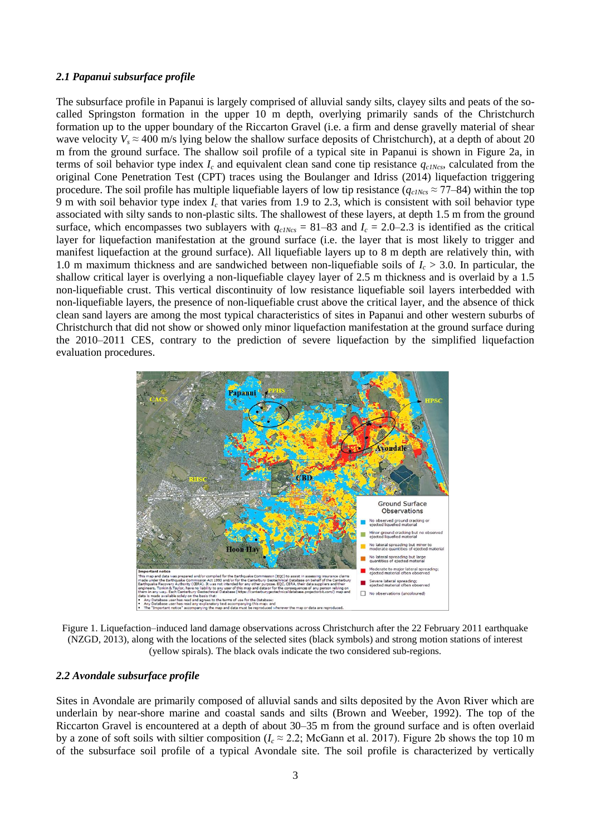#### *2.1 Papanui subsurface profile*

The subsurface profile in Papanui is largely comprised of alluvial sandy silts, clayey silts and peats of the socalled Springston formation in the upper 10 m depth, overlying primarily sands of the Christchurch formation up to the upper boundary of the Riccarton Gravel (i.e. a firm and dense gravelly material of shear wave velocity  $V_s \approx 400$  m/s lying below the shallow surface deposits of Christchurch), at a depth of about 20 m from the ground surface. The shallow soil profile of a typical site in Papanui is shown in Figure 2a, in terms of soil behavior type index *I<sup>c</sup>* and equivalent clean sand cone tip resistance *qc1Ncs*, calculated from the original Cone Penetration Test (CPT) traces using the Boulanger and Idriss (2014) liquefaction triggering procedure. The soil profile has multiple liquefiable layers of low tip resistance  $(q_{c1Ncs} \approx 77-84)$  within the top 9 m with soil behavior type index  $I_c$  that varies from 1.9 to 2.3, which is consistent with soil behavior type associated with silty sands to non-plastic silts. The shallowest of these layers, at depth 1.5 m from the ground surface, which encompasses two sublayers with  $q_{c1Ncs} = 81-83$  and  $I_c = 2.0-2.3$  is identified as the critical layer for liquefaction manifestation at the ground surface (i.e. the layer that is most likely to trigger and manifest liquefaction at the ground surface). All liquefiable layers up to 8 m depth are relatively thin, with 1.0 m maximum thickness and are sandwiched between non-liquefiable soils of *I<sup>c</sup>* > 3.0. In particular, the shallow critical layer is overlying a non-liquefiable clayey layer of 2.5 m thickness and is overlaid by a 1.5 non-liquefiable crust. This vertical discontinuity of low resistance liquefiable soil layers interbedded with non-liquefiable layers, the presence of non-liquefiable crust above the critical layer, and the absence of thick clean sand layers are among the most typical characteristics of sites in Papanui and other western suburbs of Christchurch that did not show or showed only minor liquefaction manifestation at the ground surface during the 2010–2011 CES, contrary to the prediction of severe liquefaction by the simplified liquefaction evaluation procedures.



Figure 1. Liquefaction–induced land damage observations across Christchurch after the 22 February 2011 earthquake (NZGD, 2013), along with the locations of the selected sites (black symbols) and strong motion stations of interest (yellow spirals). The black ovals indicate the two considered sub-regions.

#### *2.2 Avondale subsurface profile*

Sites in Avondale are primarily composed of alluvial sands and silts deposited by the Avon River which are underlain by near-shore marine and coastal sands and silts (Brown and Weeber, 1992). The top of the Riccarton Gravel is encountered at a depth of about 30–35 m from the ground surface and is often overlaid by a zone of soft soils with siltier composition ( $I_c \approx 2.2$ ; McGann et al. 2017). Figure 2b shows the top 10 m of the subsurface soil profile of a typical Avondale site. The soil profile is characterized by vertically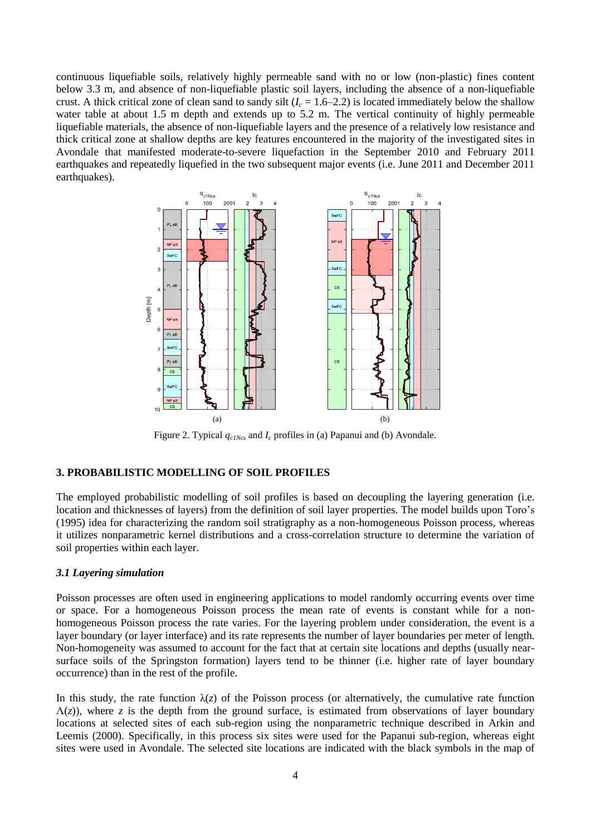continuous liquefiable soils, relatively highly permeable sand with no or low (non-plastic) fines content below 3.3 m, and absence of non-liquefiable plastic soil layers, including the absence of a non-liquefiable crust. A thick critical zone of clean sand to sandy silt  $(I_c = 1.6-2.2)$  is located immediately below the shallow water table at about 1.5 m depth and extends up to 5.2 m. The vertical continuity of highly permeable liquefiable materials, the absence of non-liquefiable layers and the presence of a relatively low resistance and thick critical zone at shallow depths are key features encountered in the majority of the investigated sites in Avondale that manifested moderate-to-severe liquefaction in the September 2010 and February 2011 earthquakes and repeatedly liquefied in the two subsequent major events (i.e. June 2011 and December 2011 earthquakes).



Figure 2. Typical *qc1Ncs* and *I<sup>c</sup>* profiles in (a) Papanui and (b) Avondale.

### **3. PROBABILISTIC MODELLING OF SOIL PROFILES**

The employed probabilistic modelling of soil profiles is based on decoupling the layering generation (i.e. location and thicknesses of layers) from the definition of soil layer properties. The model builds upon Toro's (1995) idea for characterizing the random soil stratigraphy as a non-homogeneous Poisson process, whereas it utilizes nonparametric kernel distributions and a cross-correlation structure to determine the variation of soil properties within each layer.

#### *3.1 Layering simulation*

Poisson processes are often used in engineering applications to model randomly occurring events over time or space. For a homogeneous Poisson process the mean rate of events is constant while for a nonhomogeneous Poisson process the rate varies. For the layering problem under consideration, the event is a layer boundary (or layer interface) and its rate represents the number of layer boundaries per meter of length. Non-homogeneity was assumed to account for the fact that at certain site locations and depths (usually nearsurface soils of the Springston formation) layers tend to be thinner (i.e. higher rate of layer boundary occurrence) than in the rest of the profile.

In this study, the rate function  $\lambda(z)$  of the Poisson process (or alternatively, the cumulative rate function  $\Lambda(z)$ ), where *z* is the depth from the ground surface, is estimated from observations of layer boundary locations at selected sites of each sub-region using the nonparametric technique described in Arkin and Leemis (2000). Specifically, in this process six sites were used for the Papanui sub-region, whereas eight sites were used in Avondale. The selected site locations are indicated with the black symbols in the map of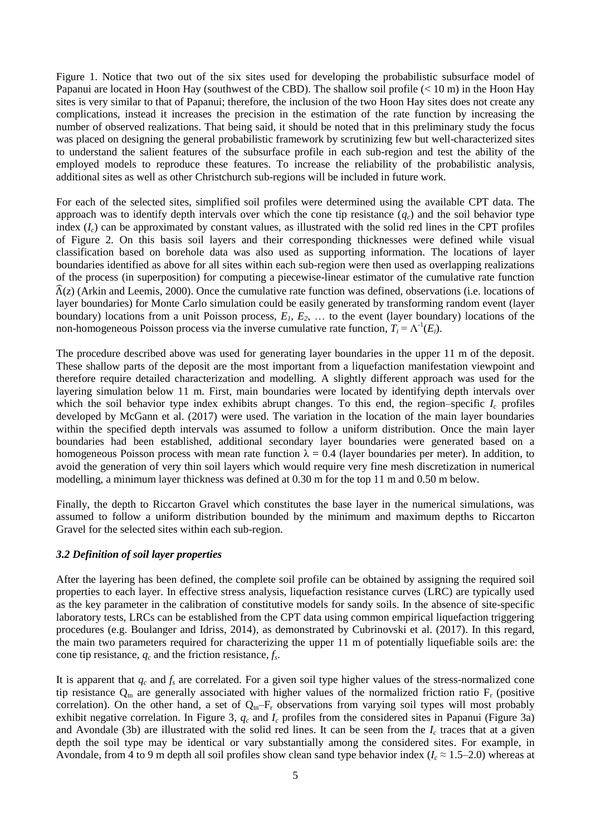Figure 1. Notice that two out of the six sites used for developing the probabilistic subsurface model of Papanui are located in Hoon Hay (southwest of the CBD). The shallow soil profile  $(< 10 \text{ m})$  in the Hoon Hay sites is very similar to that of Papanui; therefore, the inclusion of the two Hoon Hay sites does not create any complications, instead it increases the precision in the estimation of the rate function by increasing the number of observed realizations. That being said, it should be noted that in this preliminary study the focus was placed on designing the general probabilistic framework by scrutinizing few but well-characterized sites to understand the salient features of the subsurface profile in each sub-region and test the ability of the employed models to reproduce these features. To increase the reliability of the probabilistic analysis, additional sites as well as other Christchurch sub-regions will be included in future work.

For each of the selected sites, simplified soil profiles were determined using the available CPT data. The approach was to identify depth intervals over which the cone tip resistance  $(q_c)$  and the soil behavior type index  $(I_c)$  can be approximated by constant values, as illustrated with the solid red lines in the CPT profiles of Figure 2. On this basis soil layers and their corresponding thicknesses were defined while visual classification based on borehole data was also used as supporting information. The locations of layer boundaries identified as above for all sites within each sub-region were then used as overlapping realizations of the process (in superposition) for computing a piecewise-linear estimator of the cumulative rate function  $\hat{\Lambda}(z)$  (Arkin and Leemis, 2000). Once the cumulative rate function was defined, observations (i.e. locations of layer boundaries) for Monte Carlo simulation could be easily generated by transforming random event (layer boundary) locations from a unit Poisson process,  $E_1, E_2, \ldots$  to the event (layer boundary) locations of the non-homogeneous Poisson process via the inverse cumulative rate function,  $T_i = \Lambda^{-1}(E_i)$ .

The procedure described above was used for generating layer boundaries in the upper 11 m of the deposit. These shallow parts of the deposit are the most important from a liquefaction manifestation viewpoint and therefore require detailed characterization and modelling. A slightly different approach was used for the layering simulation below 11 m. First, main boundaries were located by identifying depth intervals over which the soil behavior type index exhibits abrupt changes. To this end, the region–specific  $I_c$  profiles developed by McGann et al. (2017) were used. The variation in the location of the main layer boundaries within the specified depth intervals was assumed to follow a uniform distribution. Once the main layer boundaries had been established, additional secondary layer boundaries were generated based on a homogeneous Poisson process with mean rate function  $\lambda = 0.4$  (layer boundaries per meter). In addition, to avoid the generation of very thin soil layers which would require very fine mesh discretization in numerical modelling, a minimum layer thickness was defined at 0.30 m for the top 11 m and 0.50 m below.

Finally, the depth to Riccarton Gravel which constitutes the base layer in the numerical simulations, was assumed to follow a uniform distribution bounded by the minimum and maximum depths to Riccarton Gravel for the selected sites within each sub-region.

#### *3.2 Definition of soil layer properties*

After the layering has been defined, the complete soil profile can be obtained by assigning the required soil properties to each layer. In effective stress analysis, liquefaction resistance curves (LRC) are typically used as the key parameter in the calibration of constitutive models for sandy soils. In the absence of site-specific laboratory tests, LRCs can be established from the CPT data using common empirical liquefaction triggering procedures (e.g. Boulanger and Idriss, 2014), as demonstrated by Cubrinovski et al. (2017). In this regard, the main two parameters required for characterizing the upper 11 m of potentially liquefiable soils are: the cone tip resistance, *q<sup>c</sup>* and the friction resistance, *f<sup>s</sup>* .

It is apparent that  $q_c$  and  $f_s$  are correlated. For a given soil type higher values of the stress-normalized cone tip resistance  $Q_{tn}$  are generally associated with higher values of the normalized friction ratio  $F_r$  (positive correlation). On the other hand, a set of  $Q_{\text{tn}}-F_r$  observations from varying soil types will most probably exhibit negative correlation. In Figure 3, *q<sup>c</sup>* and *I<sup>c</sup>* profiles from the considered sites in Papanui (Figure 3a) and Avondale (3b) are illustrated with the solid red lines. It can be seen from the  $I_c$  traces that at a given depth the soil type may be identical or vary substantially among the considered sites. For example, in Avondale, from 4 to 9 m depth all soil profiles show clean sand type behavior index ( $I_c \approx 1.5$ –2.0) whereas at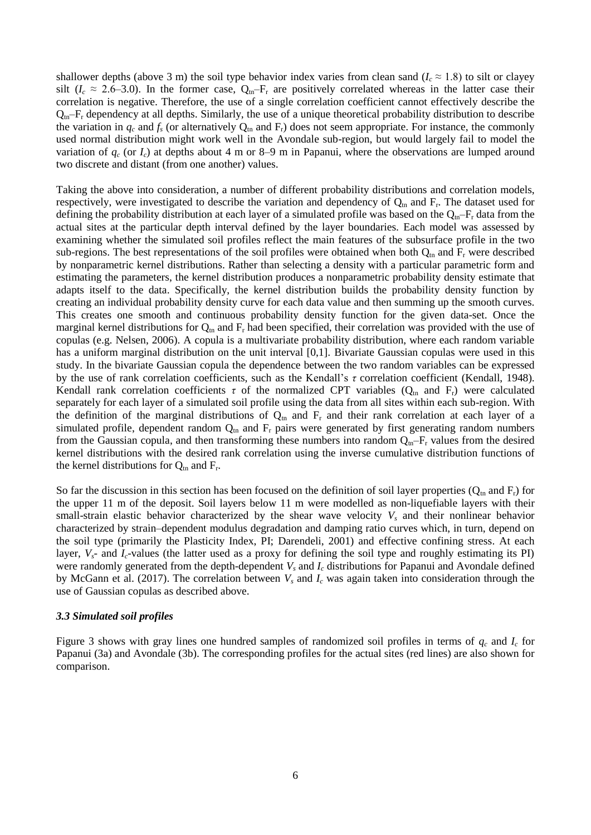shallower depths (above 3 m) the soil type behavior index varies from clean sand ( $I_c \approx 1.8$ ) to silt or clayey silt ( $I_c \approx 2.6-3.0$ ). In the former case,  $Q_{\text{tn}}-F_r$  are positively correlated whereas in the latter case their correlation is negative. Therefore, the use of a single correlation coefficient cannot effectively describe the  $Q_{tn}$ – $F_r$  dependency at all depths. Similarly, the use of a unique theoretical probability distribution to describe the variation in  $q_c$  and  $f_s$  (or alternatively  $Q_m$  and  $F_r$ ) does not seem appropriate. For instance, the commonly used normal distribution might work well in the Avondale sub-region, but would largely fail to model the variation of  $q_c$  (or  $I_c$ ) at depths about 4 m or 8–9 m in Papanui, where the observations are lumped around two discrete and distant (from one another) values.

Taking the above into consideration, a number of different probability distributions and correlation models, respectively, were investigated to describe the variation and dependency of  $Q_{tn}$  and  $F_r$ . The dataset used for defining the probability distribution at each layer of a simulated profile was based on the  $Q_{\text{tn}}-F_{\text{r}}$  data from the actual sites at the particular depth interval defined by the layer boundaries. Each model was assessed by examining whether the simulated soil profiles reflect the main features of the subsurface profile in the two sub-regions. The best representations of the soil profiles were obtained when both  $Q_{tn}$  and  $F_r$  were described by nonparametric kernel distributions. Rather than selecting a density with a particular parametric form and estimating the parameters, the kernel distribution produces a nonparametric probability density estimate that adapts itself to the data. Specifically, the kernel distribution builds the probability density function by creating an individual probability density curve for each data value and then summing up the smooth curves. This creates one smooth and continuous probability density function for the given data-set. Once the marginal kernel distributions for  $Q<sub>m</sub>$  and  $F<sub>r</sub>$  had been specified, their correlation was provided with the use of copulas (e.g. Nelsen, 2006). A copula is a multivariate probability distribution, where each random variable has a uniform marginal distribution on the unit interval [0,1]. Bivariate Gaussian copulas were used in this study. In the bivariate Gaussian copula the dependence between the two random variables can be expressed by the use of rank correlation coefficients, such as the Kendall's *τ* correlation coefficient (Kendall, 1948). Kendall rank correlation coefficients  $\tau$  of the normalized CPT variables ( $Q_{tn}$  and  $F_r$ ) were calculated separately for each layer of a simulated soil profile using the data from all sites within each sub-region. With the definition of the marginal distributions of  $Q_{tn}$  and  $F_r$  and their rank correlation at each layer of a simulated profile, dependent random  $Q_{tn}$  and  $F_r$  pairs were generated by first generating random numbers from the Gaussian copula, and then transforming these numbers into random  $Q_{\text{tn}}-F_{\text{r}}$  values from the desired kernel distributions with the desired rank correlation using the inverse cumulative distribution functions of the kernel distributions for  $Q_{tn}$  and  $F_r$ .

So far the discussion in this section has been focused on the definition of soil layer properties  $(Q_{tn}$  and  $F_r)$  for the upper 11 m of the deposit. Soil layers below 11 m were modelled as non-liquefiable layers with their small-strain elastic behavior characterized by the shear wave velocity *V<sup>s</sup>* and their nonlinear behavior characterized by strain–dependent modulus degradation and damping ratio curves which, in turn, depend on the soil type (primarily the Plasticity Index, PI; Darendeli, 2001) and effective confining stress. At each layer,  $V_s$ - and  $I_c$ -values (the latter used as a proxy for defining the soil type and roughly estimating its PI) were randomly generated from the depth-dependent *V<sup>s</sup>* and *I<sup>c</sup>* distributions for Papanui and Avondale defined by McGann et al. (2017). The correlation between *V<sup>s</sup>* and *I<sup>c</sup>* was again taken into consideration through the use of Gaussian copulas as described above.

#### *3.3 Simulated soil profiles*

Figure 3 shows with gray lines one hundred samples of randomized soil profiles in terms of  $q_c$  and  $I_c$  for Papanui (3a) and Avondale (3b). The corresponding profiles for the actual sites (red lines) are also shown for comparison.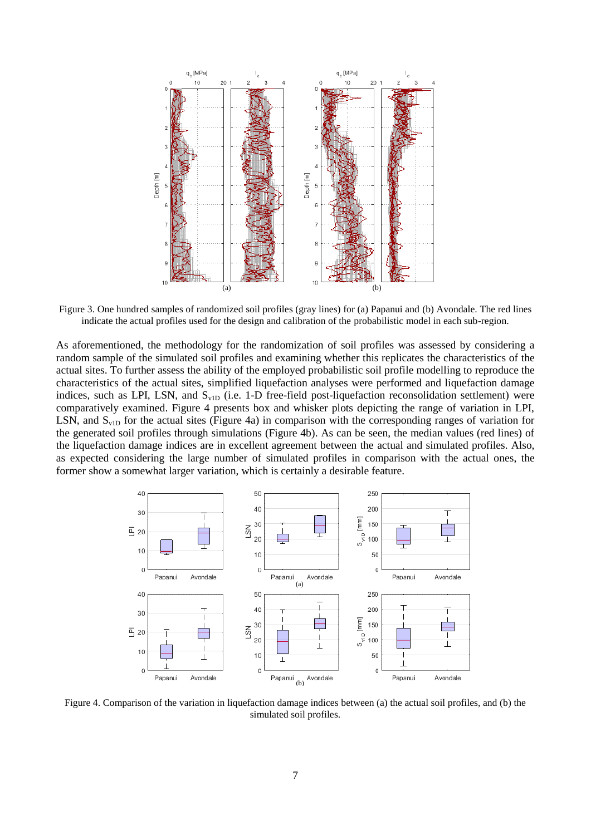

Figure 3. One hundred samples of randomized soil profiles (gray lines) for (a) Papanui and (b) Avondale. The red lines indicate the actual profiles used for the design and calibration of the probabilistic model in each sub-region.

As aforementioned, the methodology for the randomization of soil profiles was assessed by considering a random sample of the simulated soil profiles and examining whether this replicates the characteristics of the actual sites. To further assess the ability of the employed probabilistic soil profile modelling to reproduce the characteristics of the actual sites, simplified liquefaction analyses were performed and liquefaction damage indices, such as LPI, LSN, and  $S_{\text{v1D}}$  (i.e. 1-D free-field post-liquefaction reconsolidation settlement) were comparatively examined. Figure 4 presents box and whisker plots depicting the range of variation in LPI, LSN, and  $S_{v1D}$  for the actual sites (Figure 4a) in comparison with the corresponding ranges of variation for the generated soil profiles through simulations (Figure 4b). As can be seen, the median values (red lines) of the liquefaction damage indices are in excellent agreement between the actual and simulated profiles. Also, as expected considering the large number of simulated profiles in comparison with the actual ones, the former show a somewhat larger variation, which is certainly a desirable feature.



Figure 4. Comparison of the variation in liquefaction damage indices between (a) the actual soil profiles, and (b) the simulated soil profiles.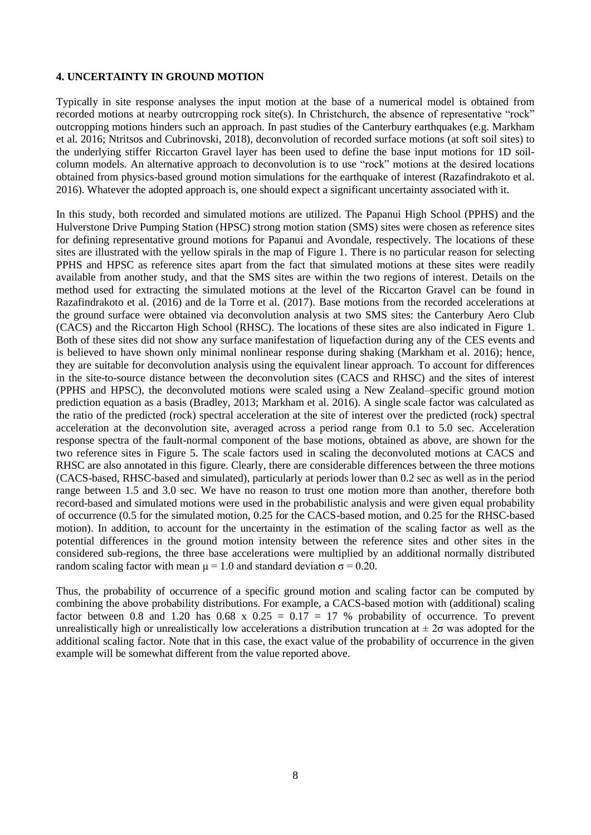### **4. UNCERTAINTY IN GROUND MOTION**

Typically in site response analyses the input motion at the base of a numerical model is obtained from recorded motions at nearby outrcropping rock site(s). In Christchurch, the absence of representative "rock" outcropping motions hinders such an approach. In past studies of the Canterbury earthquakes (e.g. Markham et al. 2016; Ntritsos and Cubrinovski, 2018), deconvolution of recorded surface motions (at soft soil sites) to the underlying stiffer Riccarton Gravel layer has been used to define the base input motions for 1D soilcolumn models. An alternative approach to deconvolution is to use "rock" motions at the desired locations obtained from physics-based ground motion simulations for the earthquake of interest (Razafindrakoto et al. 2016). Whatever the adopted approach is, one should expect a significant uncertainty associated with it.

In this study, both recorded and simulated motions are utilized. The Papanui High School (PPHS) and the Hulverstone Drive Pumping Station (HPSC) strong motion station (SMS) sites were chosen as reference sites for defining representative ground motions for Papanui and Avondale, respectively. The locations of these sites are illustrated with the yellow spirals in the map of Figure 1. There is no particular reason for selecting PPHS and HPSC as reference sites apart from the fact that simulated motions at these sites were readily available from another study, and that the SMS sites are within the two regions of interest. Details on the method used for extracting the simulated motions at the level of the Riccarton Gravel can be found in Razafindrakoto et al. (2016) and de la Torre et al. (2017). Base motions from the recorded accelerations at the ground surface were obtained via deconvolution analysis at two SMS sites: the Canterbury Aero Club (CACS) and the Riccarton High School (RHSC). The locations of these sites are also indicated in Figure 1. Both of these sites did not show any surface manifestation of liquefaction during any of the CES events and is believed to have shown only minimal nonlinear response during shaking (Markham et al. 2016); hence, they are suitable for deconvolution analysis using the equivalent linear approach. To account for differences in the site-to-source distance between the deconvolution sites (CACS and RHSC) and the sites of interest (PPHS and HPSC), the deconvoluted motions were scaled using a New Zealand–specific ground motion prediction equation as a basis (Bradley, 2013; Markham et al. 2016). A single scale factor was calculated as the ratio of the predicted (rock) spectral acceleration at the site of interest over the predicted (rock) spectral acceleration at the deconvolution site, averaged across a period range from 0.1 to 5.0 sec. Acceleration response spectra of the fault-normal component of the base motions, obtained as above, are shown for the two reference sites in Figure 5. The scale factors used in scaling the deconvoluted motions at CACS and RHSC are also annotated in this figure. Clearly, there are considerable differences between the three motions (CACS-based, RHSC-based and simulated), particularly at periods lower than 0.2 sec as well as in the period range between 1.5 and 3.0 sec. We have no reason to trust one motion more than another, therefore both record-based and simulated motions were used in the probabilistic analysis and were given equal probability of occurrence (0.5 for the simulated motion, 0.25 for the CACS-based motion, and 0.25 for the RHSC-based motion). In addition, to account for the uncertainty in the estimation of the scaling factor as well as the potential differences in the ground motion intensity between the reference sites and other sites in the considered sub-regions, the three base accelerations were multiplied by an additional normally distributed random scaling factor with mean  $\mu = 1.0$  and standard deviation  $\sigma = 0.20$ .

Thus, the probability of occurrence of a specific ground motion and scaling factor can be computed by combining the above probability distributions. For example, a CACS-based motion with (additional) scaling factor between 0.8 and 1.20 has 0.68 x  $0.25 = 0.17 = 17$  % probability of occurrence. To prevent unrealistically high or unrealistically low accelerations a distribution truncation at  $\pm 2\sigma$  was adopted for the additional scaling factor. Note that in this case, the exact value of the probability of occurrence in the given example will be somewhat different from the value reported above.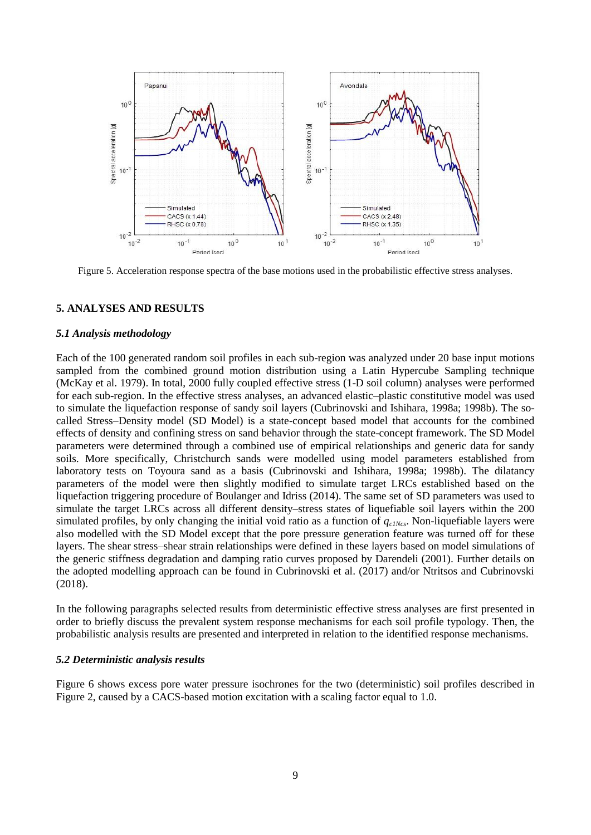

Figure 5. Acceleration response spectra of the base motions used in the probabilistic effective stress analyses.

#### **5. ANALYSES AND RESULTS**

#### *5.1 Analysis methodology*

Each of the 100 generated random soil profiles in each sub-region was analyzed under 20 base input motions sampled from the combined ground motion distribution using a Latin Hypercube Sampling technique (McKay et al. 1979). In total, 2000 fully coupled effective stress (1-D soil column) analyses were performed for each sub-region. In the effective stress analyses, an advanced elastic–plastic constitutive model was used to simulate the liquefaction response of sandy soil layers (Cubrinovski and Ishihara, 1998a; 1998b). The socalled Stress–Density model (SD Model) is a state-concept based model that accounts for the combined effects of density and confining stress on sand behavior through the state-concept framework. The SD Model parameters were determined through a combined use of empirical relationships and generic data for sandy soils. More specifically, Christchurch sands were modelled using model parameters established from laboratory tests on Toyoura sand as a basis (Cubrinovski and Ishihara, 1998a; 1998b). The dilatancy parameters of the model were then slightly modified to simulate target LRCs established based on the liquefaction triggering procedure of Boulanger and Idriss (2014). The same set of SD parameters was used to simulate the target LRCs across all different density–stress states of liquefiable soil layers within the 200 simulated profiles, by only changing the initial void ratio as a function of *qc1Ncs*. Non-liquefiable layers were also modelled with the SD Model except that the pore pressure generation feature was turned off for these layers. The shear stress–shear strain relationships were defined in these layers based on model simulations of the generic stiffness degradation and damping ratio curves proposed by Darendeli (2001). Further details on the adopted modelling approach can be found in Cubrinovski et al. (2017) and/or Ntritsos and Cubrinovski (2018).

In the following paragraphs selected results from deterministic effective stress analyses are first presented in order to briefly discuss the prevalent system response mechanisms for each soil profile typology. Then, the probabilistic analysis results are presented and interpreted in relation to the identified response mechanisms.

#### *5.2 Deterministic analysis results*

Figure 6 shows excess pore water pressure isochrones for the two (deterministic) soil profiles described in Figure 2, caused by a CACS-based motion excitation with a scaling factor equal to 1.0.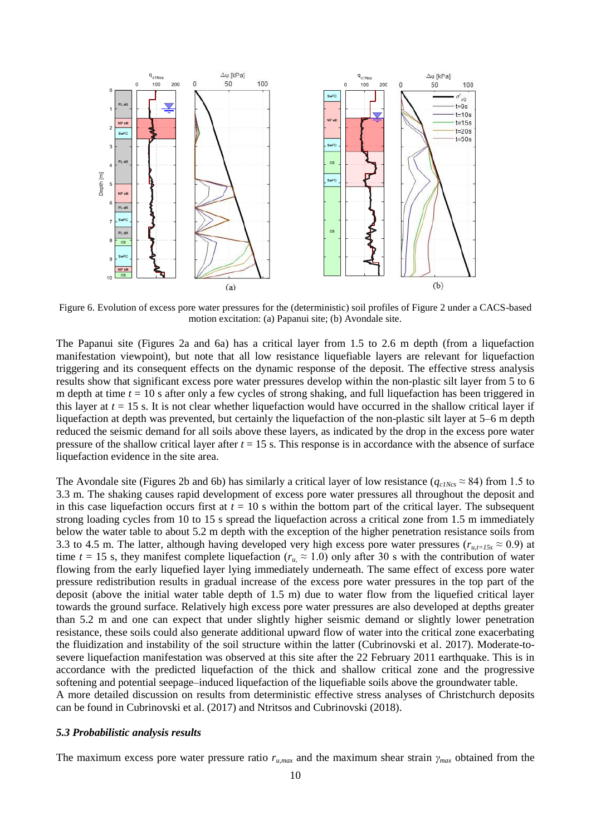

Figure 6. Evolution of excess pore water pressures for the (deterministic) soil profiles of Figure 2 under a CACS-based motion excitation: (a) Papanui site; (b) Avondale site.

The Papanui site (Figures 2a and 6a) has a critical layer from 1.5 to 2.6 m depth (from a liquefaction manifestation viewpoint), but note that all low resistance liquefiable layers are relevant for liquefaction triggering and its consequent effects on the dynamic response of the deposit. The effective stress analysis results show that significant excess pore water pressures develop within the non-plastic silt layer from 5 to 6 m depth at time *t* = 10 s after only a few cycles of strong shaking, and full liquefaction has been triggered in this layer at  $t = 15$  s. It is not clear whether liquefaction would have occurred in the shallow critical layer if liquefaction at depth was prevented, but certainly the liquefaction of the non-plastic silt layer at 5–6 m depth reduced the seismic demand for all soils above these layers, as indicated by the drop in the excess pore water pressure of the shallow critical layer after  $t = 15$  s. This response is in accordance with the absence of surface liquefaction evidence in the site area.

The Avondale site (Figures 2b and 6b) has similarly a critical layer of low resistance ( $q_{c1Ncs} \approx 84$ ) from 1.5 to 3.3 m. The shaking causes rapid development of excess pore water pressures all throughout the deposit and in this case liquefaction occurs first at  $t = 10$  s within the bottom part of the critical layer. The subsequent strong loading cycles from 10 to 15 s spread the liquefaction across a critical zone from 1.5 m immediately below the water table to about 5.2 m depth with the exception of the higher penetration resistance soils from 3.3 to 4.5 m. The latter, although having developed very high excess pore water pressures ( $r_{u,t=15s} \approx 0.9$ ) at time  $t = 15$  s, they manifest complete liquefaction ( $r_u \approx 1.0$ ) only after 30 s with the contribution of water flowing from the early liquefied layer lying immediately underneath. The same effect of excess pore water pressure redistribution results in gradual increase of the excess pore water pressures in the top part of the deposit (above the initial water table depth of 1.5 m) due to water flow from the liquefied critical layer towards the ground surface. Relatively high excess pore water pressures are also developed at depths greater than 5.2 m and one can expect that under slightly higher seismic demand or slightly lower penetration resistance, these soils could also generate additional upward flow of water into the critical zone exacerbating the fluidization and instability of the soil structure within the latter (Cubrinovski et al. 2017). Moderate-tosevere liquefaction manifestation was observed at this site after the 22 February 2011 earthquake. This is in accordance with the predicted liquefaction of the thick and shallow critical zone and the progressive softening and potential seepage–induced liquefaction of the liquefiable soils above the groundwater table. A more detailed discussion on results from deterministic effective stress analyses of Christchurch deposits

## *5.3 Probabilistic analysis results*

The maximum excess pore water pressure ratio *ru,max* and the maximum shear strain *γmax* obtained from the

can be found in Cubrinovski et al. (2017) and Ntritsos and Cubrinovski (2018).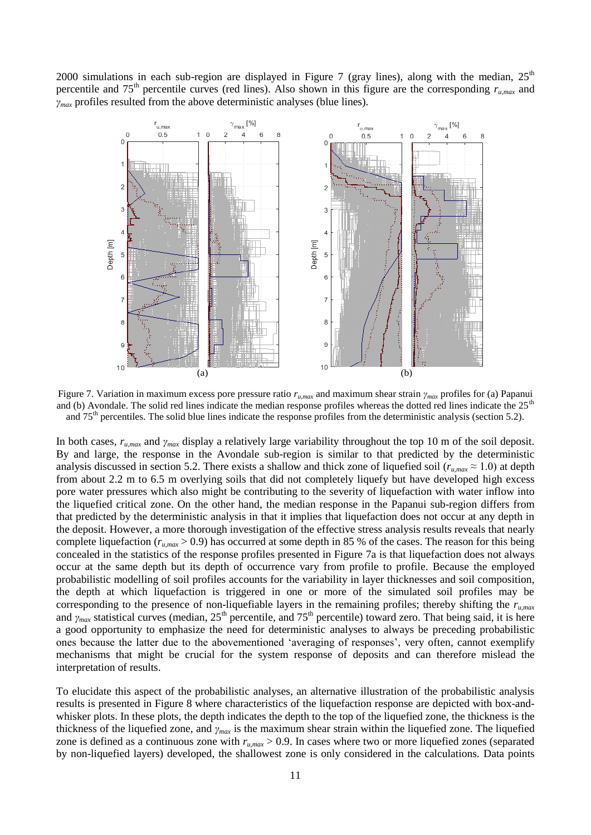2000 simulations in each sub-region are displayed in Figure 7 (gray lines), along with the median,  $25<sup>th</sup>$ percentile and  $75<sup>th</sup>$  percentile curves (red lines). Also shown in this figure are the corresponding  $r_{\mu, max}$  and *γmax* profiles resulted from the above deterministic analyses (blue lines).



Figure 7. Variation in maximum excess pore pressure ratio *ru,max* and maximum shear strain *γmax* profiles for (a) Papanui and (b) Avondale. The solid red lines indicate the median response profiles whereas the dotted red lines indicate the  $25<sup>th</sup>$ and 75<sup>th</sup> percentiles. The solid blue lines indicate the response profiles from the deterministic analysis (section 5.2).

In both cases, *ru,max* and *γmax* display a relatively large variability throughout the top 10 m of the soil deposit. By and large, the response in the Avondale sub-region is similar to that predicted by the deterministic analysis discussed in section 5.2. There exists a shallow and thick zone of liquefied soil ( $r_{u,max} \approx 1.0$ ) at depth from about 2.2 m to 6.5 m overlying soils that did not completely liquefy but have developed high excess pore water pressures which also might be contributing to the severity of liquefaction with water inflow into the liquefied critical zone. On the other hand, the median response in the Papanui sub-region differs from that predicted by the deterministic analysis in that it implies that liquefaction does not occur at any depth in the deposit. However, a more thorough investigation of the effective stress analysis results reveals that nearly complete liquefaction ( $r_{\mu, max} > 0.9$ ) has occurred at some depth in 85 % of the cases. The reason for this being concealed in the statistics of the response profiles presented in Figure 7a is that liquefaction does not always occur at the same depth but its depth of occurrence vary from profile to profile. Because the employed probabilistic modelling of soil profiles accounts for the variability in layer thicknesses and soil composition, the depth at which liquefaction is triggered in one or more of the simulated soil profiles may be corresponding to the presence of non-liquefiable layers in the remaining profiles; thereby shifting the *ru,max* and *γ*<sub>*max*</sub> statistical curves (median, 25<sup>th</sup> percentile, and 75<sup>th</sup> percentile) toward zero. That being said, it is here a good opportunity to emphasize the need for deterministic analyses to always be preceding probabilistic ones because the latter due to the abovementioned 'averaging of responses', very often, cannot exemplify mechanisms that might be crucial for the system response of deposits and can therefore mislead the interpretation of results.

To elucidate this aspect of the probabilistic analyses, an alternative illustration of the probabilistic analysis results is presented in Figure 8 where characteristics of the liquefaction response are depicted with box-andwhisker plots. In these plots, the depth indicates the depth to the top of the liquefied zone, the thickness is the thickness of the liquefied zone, and *γmax* is the maximum shear strain within the liquefied zone. The liquefied zone is defined as a continuous zone with  $r_{u,max} > 0.9$ . In cases where two or more liquefied zones (separated by non-liquefied layers) developed, the shallowest zone is only considered in the calculations. Data points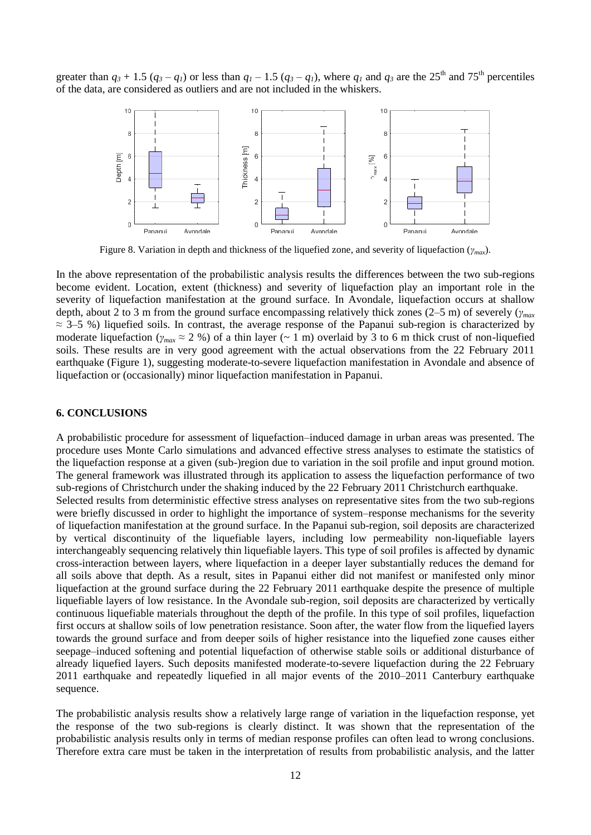greater than  $q_3 + 1.5 (q_3 - q_1)$  or less than  $q_1 - 1.5 (q_3 - q_1)$ , where  $q_1$  and  $q_3$  are the 25<sup>th</sup> and 75<sup>th</sup> percentiles of the data, are considered as outliers and are not included in the whiskers.



Figure 8. Variation in depth and thickness of the liquefied zone, and severity of liquefaction (*γmax*).

In the above representation of the probabilistic analysis results the differences between the two sub-regions become evident. Location, extent (thickness) and severity of liquefaction play an important role in the severity of liquefaction manifestation at the ground surface. In Avondale, liquefaction occurs at shallow depth, about 2 to 3 m from the ground surface encompassing relatively thick zones (2–5 m) of severely (*γmax*  $\approx$  3–5 %) liquefied soils. In contrast, the average response of the Papanui sub-region is characterized by moderate liquefaction ( $\gamma_{max} \approx 2$  %) of a thin layer (~ 1 m) overlaid by 3 to 6 m thick crust of non-liquefied soils. These results are in very good agreement with the actual observations from the 22 February 2011 earthquake (Figure 1), suggesting moderate-to-severe liquefaction manifestation in Avondale and absence of liquefaction or (occasionally) minor liquefaction manifestation in Papanui.

### **6. CONCLUSIONS**

A probabilistic procedure for assessment of liquefaction–induced damage in urban areas was presented. The procedure uses Monte Carlo simulations and advanced effective stress analyses to estimate the statistics of the liquefaction response at a given (sub-)region due to variation in the soil profile and input ground motion. The general framework was illustrated through its application to assess the liquefaction performance of two sub-regions of Christchurch under the shaking induced by the 22 February 2011 Christchurch earthquake. Selected results from deterministic effective stress analyses on representative sites from the two sub-regions were briefly discussed in order to highlight the importance of system–response mechanisms for the severity of liquefaction manifestation at the ground surface. In the Papanui sub-region, soil deposits are characterized by vertical discontinuity of the liquefiable layers, including low permeability non-liquefiable layers interchangeably sequencing relatively thin liquefiable layers. This type of soil profiles is affected by dynamic cross-interaction between layers, where liquefaction in a deeper layer substantially reduces the demand for all soils above that depth. As a result, sites in Papanui either did not manifest or manifested only minor liquefaction at the ground surface during the 22 February 2011 earthquake despite the presence of multiple liquefiable layers of low resistance. In the Avondale sub-region, soil deposits are characterized by vertically continuous liquefiable materials throughout the depth of the profile. In this type of soil profiles, liquefaction first occurs at shallow soils of low penetration resistance. Soon after, the water flow from the liquefied layers towards the ground surface and from deeper soils of higher resistance into the liquefied zone causes either seepage–induced softening and potential liquefaction of otherwise stable soils or additional disturbance of already liquefied layers. Such deposits manifested moderate-to-severe liquefaction during the 22 February 2011 earthquake and repeatedly liquefied in all major events of the 2010–2011 Canterbury earthquake sequence.

The probabilistic analysis results show a relatively large range of variation in the liquefaction response, yet the response of the two sub-regions is clearly distinct. It was shown that the representation of the probabilistic analysis results only in terms of median response profiles can often lead to wrong conclusions. Therefore extra care must be taken in the interpretation of results from probabilistic analysis, and the latter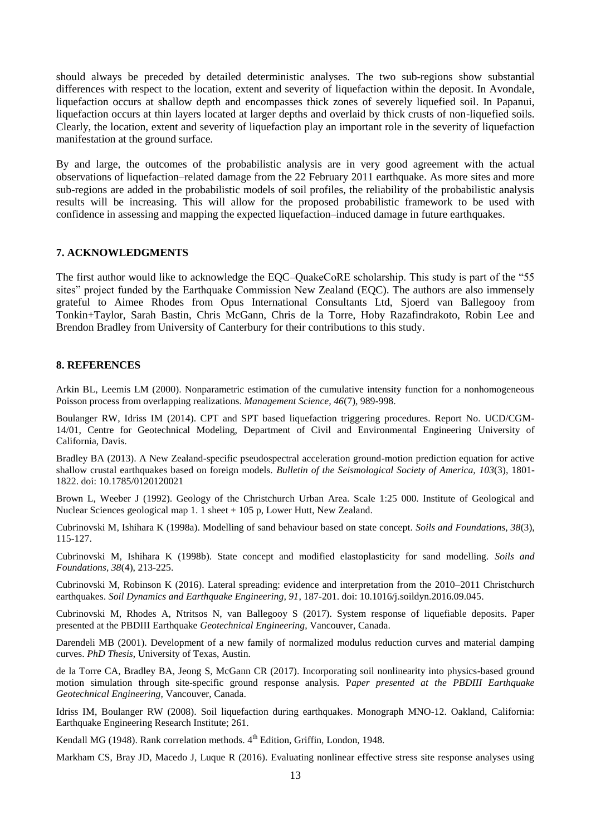should always be preceded by detailed deterministic analyses. The two sub-regions show substantial differences with respect to the location, extent and severity of liquefaction within the deposit. In Avondale, liquefaction occurs at shallow depth and encompasses thick zones of severely liquefied soil. In Papanui, liquefaction occurs at thin layers located at larger depths and overlaid by thick crusts of non-liquefied soils. Clearly, the location, extent and severity of liquefaction play an important role in the severity of liquefaction manifestation at the ground surface.

By and large, the outcomes of the probabilistic analysis are in very good agreement with the actual observations of liquefaction–related damage from the 22 February 2011 earthquake. As more sites and more sub-regions are added in the probabilistic models of soil profiles, the reliability of the probabilistic analysis results will be increasing. This will allow for the proposed probabilistic framework to be used with confidence in assessing and mapping the expected liquefaction–induced damage in future earthquakes.

### **7. ACKNOWLEDGMENTS**

The first author would like to acknowledge the EQC–QuakeCoRE scholarship. This study is part of the "55 sites" project funded by the Earthquake Commission New Zealand (EOC). The authors are also immensely grateful to Aimee Rhodes from Opus International Consultants Ltd, Sjoerd van Ballegooy from Tonkin+Taylor, Sarah Bastin, Chris McGann, Chris de la Torre, Hoby Razafindrakoto, Robin Lee and Brendon Bradley from University of Canterbury for their contributions to this study.

#### **8. REFERENCES**

Arkin BL, Leemis LM (2000). Nonparametric estimation of the cumulative intensity function for a nonhomogeneous Poisson process from overlapping realizations. *Management Science, 46*(7), 989-998.

Boulanger RW, Idriss IM (2014). CPT and SPT based liquefaction triggering procedures. Report No. UCD/CGM-14/01, Centre for Geotechnical Modeling, Department of Civil and Environmental Engineering University of California, Davis.

Bradley BA (2013). A New Zealand-specific pseudospectral acceleration ground-motion prediction equation for active shallow crustal earthquakes based on foreign models. *Bulletin of the Seismological Society of America, 103*(3), 1801- 1822. doi: 10.1785/0120120021

Brown L, Weeber J (1992). Geology of the Christchurch Urban Area. Scale 1:25 000. Institute of Geological and Nuclear Sciences geological map 1. 1 sheet + 105 p, Lower Hutt, New Zealand.

Cubrinovski M, Ishihara K (1998a). Modelling of sand behaviour based on state concept. *Soils and Foundations, 38*(3), 115-127.

Cubrinovski M, Ishihara K (1998b). State concept and modified elastoplasticity for sand modelling. *Soils and Foundations, 38*(4), 213-225.

Cubrinovski M, Robinson K (2016). Lateral spreading: evidence and interpretation from the 2010–2011 Christchurch earthquakes. *Soil Dynamics and Earthquake Engineering, 91*, 187-201. doi: 10.1016/j.soildyn.2016.09.045.

Cubrinovski M, Rhodes A, Ntritsos N, van Ballegooy S (2017). System response of liquefiable deposits. Paper presented at the PBDIII Earthquake *Geotechnical Engineering*, Vancouver, Canada.

Darendeli MB (2001). Development of a new family of normalized modulus reduction curves and material damping curves. *PhD Thesis*, University of Texas, Austin.

de la Torre CA, Bradley BA, Jeong S, McGann CR (2017). Incorporating soil nonlinearity into physics-based ground motion simulation through site-specific ground response analysis*.* P*aper presented at the PBDIII Earthquake Geotechnical Engineering*, Vancouver, Canada.

Idriss IM, Boulanger RW (2008). Soil liquefaction during earthquakes. Monograph MNO-12. Oakland, California: Earthquake Engineering Research Institute; 261.

Kendall MG (1948). Rank correlation methods. 4<sup>th</sup> Edition, Griffin, London, 1948.

Markham CS, Bray JD, Macedo J, Luque R (2016). Evaluating nonlinear effective stress site response analyses using